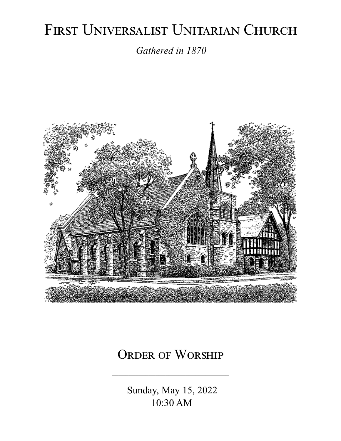# FIRST UNIVERSALIST UNITARIAN CHURCH

*Gathered in 1870*



# ORDER OF WORSHIP

 Sunday, May 15, 2022 10:30 AM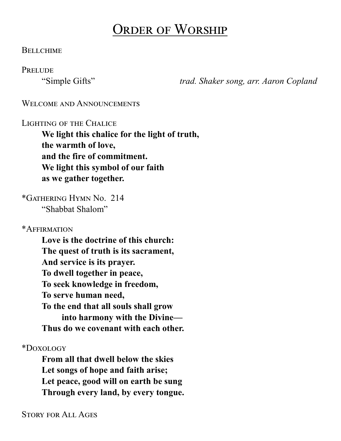# Order of Worship

#### **BELLCHIME**

**PRELUDE** 

"Simple Gifts" *trad. Shaker song, arr. Aaron Copland*

#### WELCOME AND ANNOUNCEMENTS

#### Lighting of the Chalice

**We light this chalice for the light of truth, the warmth of love, and the fire of commitment. We light this symbol of our faith as we gather together.**

\*Gathering Hymn No. 214 "Shabbat Shalom"

\*Affirmation

**Love is the doctrine of this church: The quest of truth is its sacrament, And service is its prayer. To dwell together in peace, To seek knowledge in freedom, To serve human need, To the end that all souls shall grow into harmony with the Divine— Thus do we covenant with each other.**

\*Doxology

**From all that dwell below the skies Let songs of hope and faith arise; Let peace, good will on earth be sung Through every land, by every tongue.**

Story for All Ages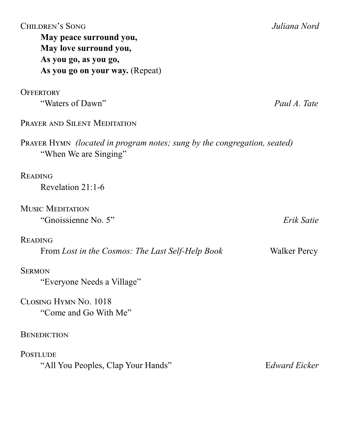| <b>CHILDREN'S SONG</b><br>May peace surround you,<br>May love surround you,<br>As you go, as you go,<br>As you go on your way. (Repeat) | Juliana Nord  |
|-----------------------------------------------------------------------------------------------------------------------------------------|---------------|
| <b>OFFERTORY</b>                                                                                                                        |               |
| "Waters of Dawn"                                                                                                                        | Paul A. Tate  |
| PRAYER AND SILENT MEDITATION                                                                                                            |               |
| <b>PRAYER HYMN</b> <i>(located in program notes; sung by the congregation, seated)</i><br>"When We are Singing"                         |               |
| <b>READING</b>                                                                                                                          |               |
| Revelation $21:1-6$                                                                                                                     |               |
| <b>MUSIC MEDITATION</b>                                                                                                                 |               |
| "Gnoissienne No. 5"                                                                                                                     | Erik Satie    |
| <b>READING</b>                                                                                                                          |               |
| From Lost in the Cosmos: The Last Self-Help Book                                                                                        | Walker Percy  |
| <b>SERMON</b>                                                                                                                           |               |
| "Everyone Needs a Village"                                                                                                              |               |
| CLOSING HYMN No. 1018<br>"Come and Go With Me"                                                                                          |               |
| <b>BENEDICTION</b>                                                                                                                      |               |
| <b>POSTLUDE</b>                                                                                                                         |               |
| "All You Peoples, Clap Your Hands"                                                                                                      | Edward Eicker |